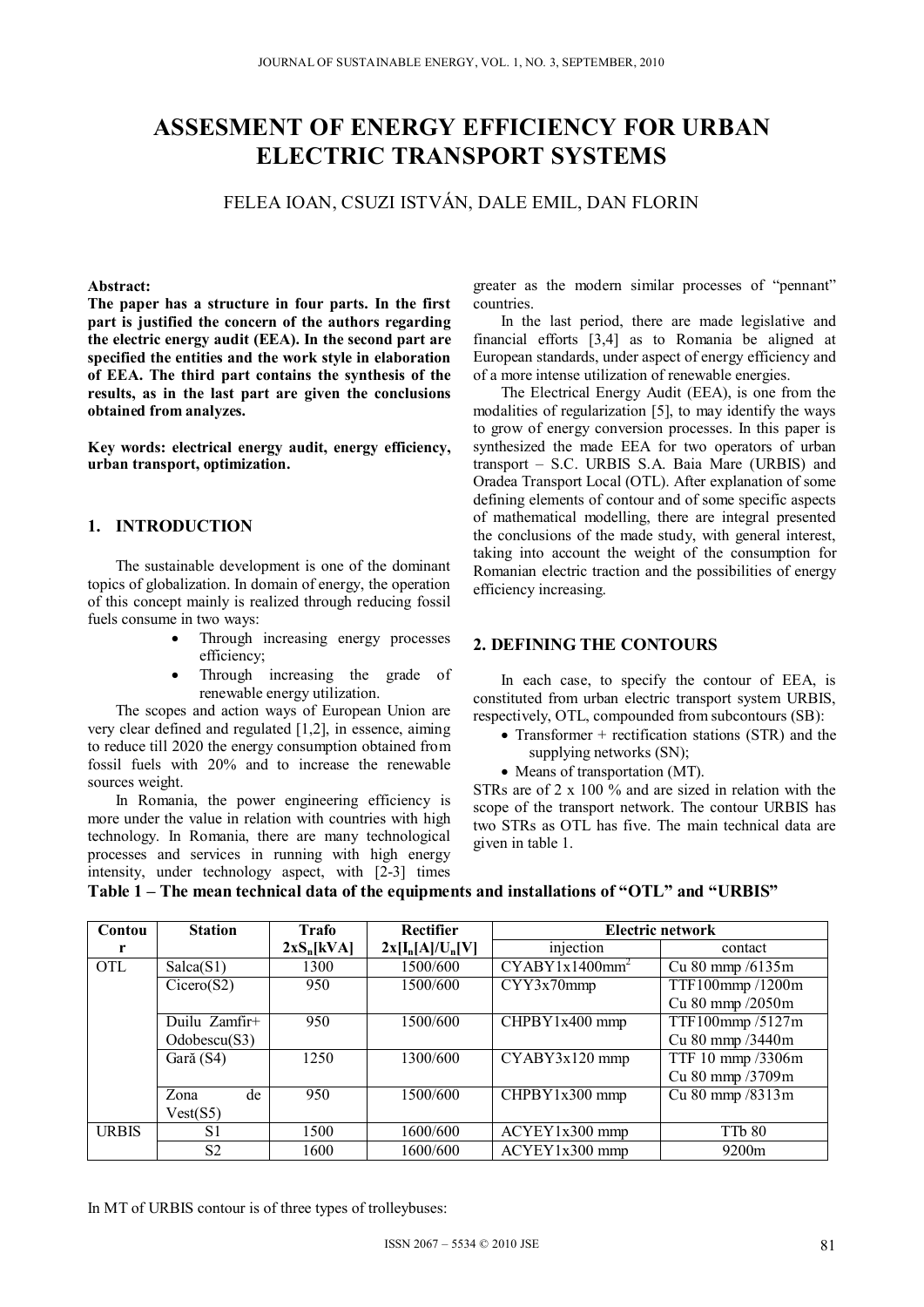## **ASSESMENT OF ENERGY EFFICIENCY FOR URBAN ELECTRIC TRANSPORT SYSTEMS**

FELEA IOAN, CSUZI ISTVÁN, DALE EMIL, DAN FLORIN

#### **Abstract:**

**The paper has a structure in four parts. In the first part is justified the concern of the authors regarding the electric energy audit (EEA). In the second part are specified the entities and the work style in elaboration of EEA. The third part contains the synthesis of the results, as in the last part are given the conclusions obtained from analyzes.** 

**Key words: electrical energy audit, energy efficiency, urban transport, optimization.** 

#### **1. INTRODUCTION**

The sustainable development is one of the dominant topics of globalization. In domain of energy, the operation of this concept mainly is realized through reducing fossil fuels consume in two ways:

- Through increasing energy processes efficiency;
- Through increasing the grade of renewable energy utilization.

The scopes and action ways of European Union are very clear defined and regulated [1,2], in essence, aiming to reduce till 2020 the energy consumption obtained from fossil fuels with 20% and to increase the renewable sources weight.

In Romania, the power engineering efficiency is more under the value in relation with countries with high technology. In Romania, there are many technological processes and services in running with high energy intensity, under technology aspect, with [2-3] times

greater as the modern similar processes of "pennant" countries.

In the last period, there are made legislative and financial efforts [3,4] as to Romania be aligned at European standards, under aspect of energy efficiency and of a more intense utilization of renewable energies.

The Electrical Energy Audit (EEA), is one from the modalities of regularization [5], to may identify the ways to grow of energy conversion processes. In this paper is synthesized the made EEA for two operators of urban transport – S.C. URBIS S.A. Baia Mare (URBIS) and Oradea Transport Local (OTL). After explanation of some defining elements of contour and of some specific aspects of mathematical modelling, there are integral presented the conclusions of the made study, with general interest, taking into account the weight of the consumption for Romanian electric traction and the possibilities of energy efficiency increasing.

#### **2. DEFINING THE CONTOURS**

 In each case, to specify the contour of EEA, is constituted from urban electric transport system URBIS, respectively, OTL, compounded from subcontours (SB):

- Transformer + rectification stations  $(STR)$  and the supplying networks (SN);
- Means of transportation (MT).

STRs are of 2 x 100 % and are sized in relation with the scope of the transport network. The contour URBIS has two STRs as OTL has five. The main technical data are given in table 1.

| Contou       | <b>Station</b> | Trafo        | <b>Rectifier</b>   | Electric network           |                       |
|--------------|----------------|--------------|--------------------|----------------------------|-----------------------|
|              |                | $2xS_n[kVA]$ | $2x[I_n[A]/U_n[V]$ | injection                  | contact               |
| <b>OTL</b>   | Salca(S1)      | 1300         | 1500/600           | CYABY1x1400mm <sup>2</sup> | Cu $80$ mmp $/6135$ m |
|              | Cicero(S2)     | 950          | 1500/600           | CYY3x70mmp                 | TTF100mmp/1200m       |
|              |                |              |                    |                            | Cu 80 mmp /2050m      |
|              | Duilu Zamfir+  | 950          | 1500/600           | $CHPBY1x400$ mmp           | TTF100mmp/5127m       |
|              | Odobescu(S3)   |              |                    |                            | Cu 80 mmp /3440m      |
|              | Gară (S4)      | 1250         | 1300/600           | $CYABY3x120$ mmp           | TTF 10 mmp /3306m     |
|              |                |              |                    |                            | Cu 80 mmp /3709m      |
|              | de<br>Zona     | 950          | 1500/600           | $CHPBY1x300$ mmp           | Cu 80 mmp /8313m      |
|              | Vest(S5)       |              |                    |                            |                       |
| <b>URBIS</b> | S <sub>1</sub> | 1500         | 1600/600           | $ACYEY1x300$ mmp           | TTb 80                |
|              | S <sub>2</sub> | 1600         | 1600/600           | $ACYEY1x300$ mmp           | 9200 <sub>m</sub>     |

#### **Table 1 – The mean technical data of the equipments and installations of "OTL" and "URBIS"**

In MT of URBIS contour is of three types of trolleybuses: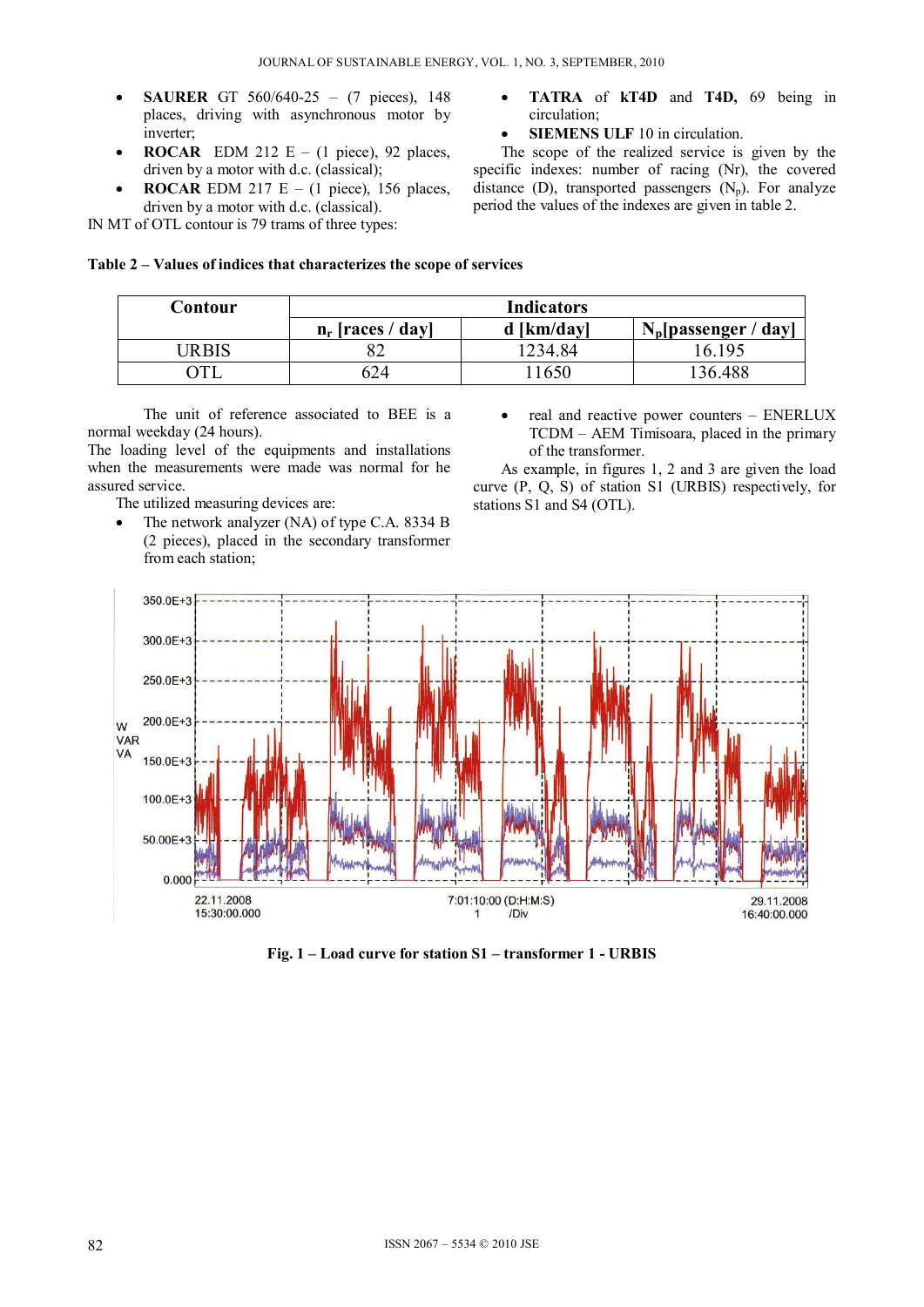- **SAURER** GT 560/640-25 (7 pieces), 148 places, driving with asynchronous motor by inverter;
- **ROCAR** EDM 212 E (1 piece), 92 places, driven by a motor with d.c. (classical);
- **ROCAR** EDM 217 E (1 piece), 156 places, driven by a motor with d.c. (classical).

IN MT of OTL contour is 79 trams of three types:

- **TATRA** of **kT4D** and **T4D,** 69 being in circulation;
- **SIEMENS ULF** 10 in circulation.

 The scope of the realized service is given by the specific indexes: number of racing (Nr), the covered distance (D), transported passengers  $(N_p)$ . For analyze period the values of the indexes are given in table 2.

#### **Table 2 – Values of indices that characterizes the scope of services**

| Contour | <b>Indicators</b>   |              |                         |  |  |
|---------|---------------------|--------------|-------------------------|--|--|
|         | $n_r$ [races / day] | $d$ [km/day] | $N_p$ [passenger / day] |  |  |
| JRBIS   | 82                  | 1234.84      | 16.195                  |  |  |
|         | 624                 | 1650         | 136.488                 |  |  |

The unit of reference associated to BEE is a normal weekday (24 hours).

The loading level of the equipments and installations when the measurements were made was normal for he assured service.

The utilized measuring devices are:

- The network analyzer (NA) of type C.A. 8334 B (2 pieces), placed in the secondary transformer from each station;
- real and reactive power counters ENERLUX TCDM – AEM Timisoara, placed in the primary of the transformer.

As example, in figures 1, 2 and 3 are given the load curve (P, Q, S) of station S1 (URBIS) respectively, for stations S1 and S4 (OTL).



**Fig. 1 – Load curve for station S1 – transformer 1 - URBIS**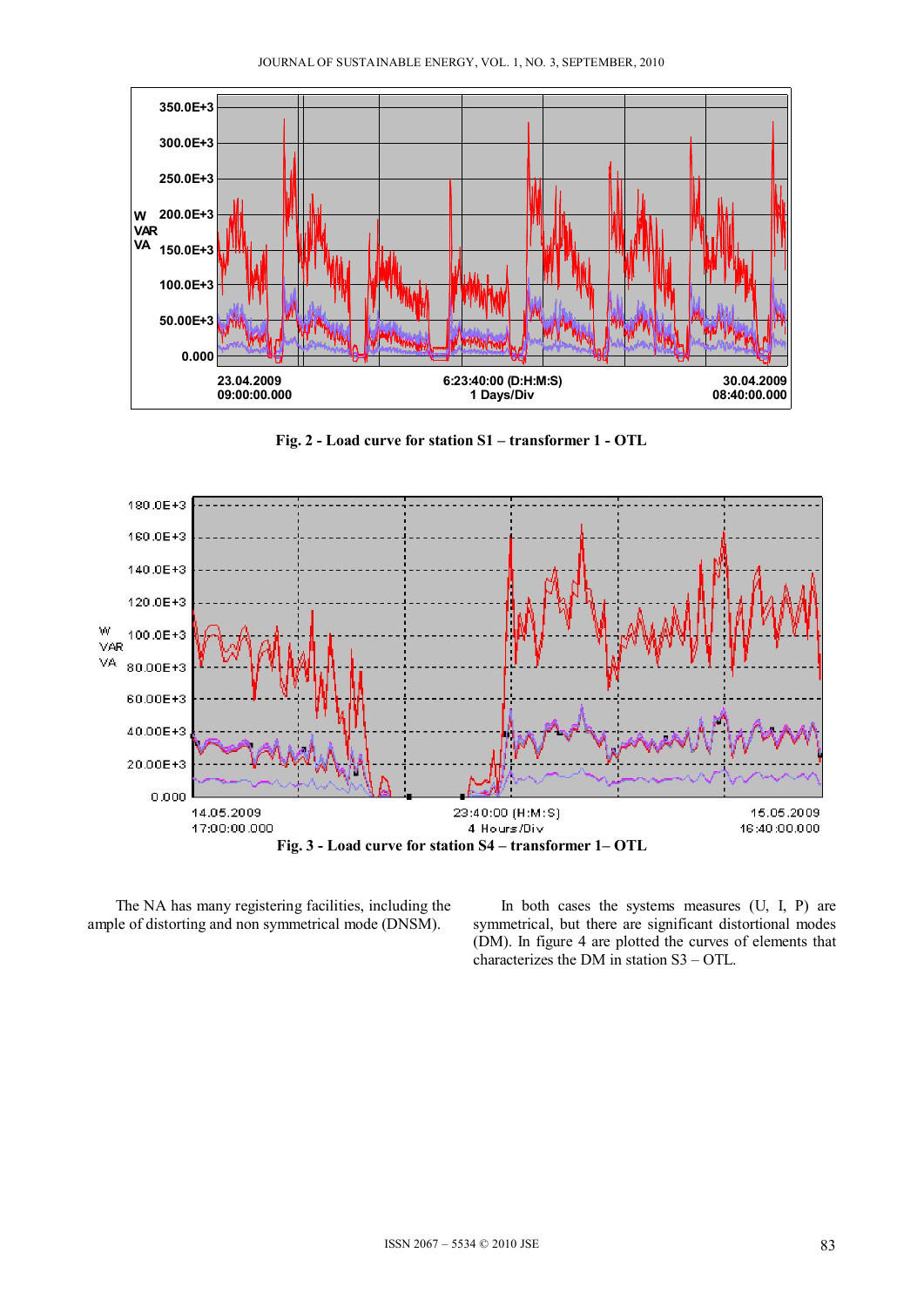

**Fig. 2 - Load curve for station S1 – transformer 1 - OTL** 



The NA has many registering facilities, including the ample of distorting and non symmetrical mode (DNSM).

In both cases the systems measures (U, I, P) are symmetrical, but there are significant distortional modes (DM). In figure 4 are plotted the curves of elements that characterizes the DM in station S3 – OTL.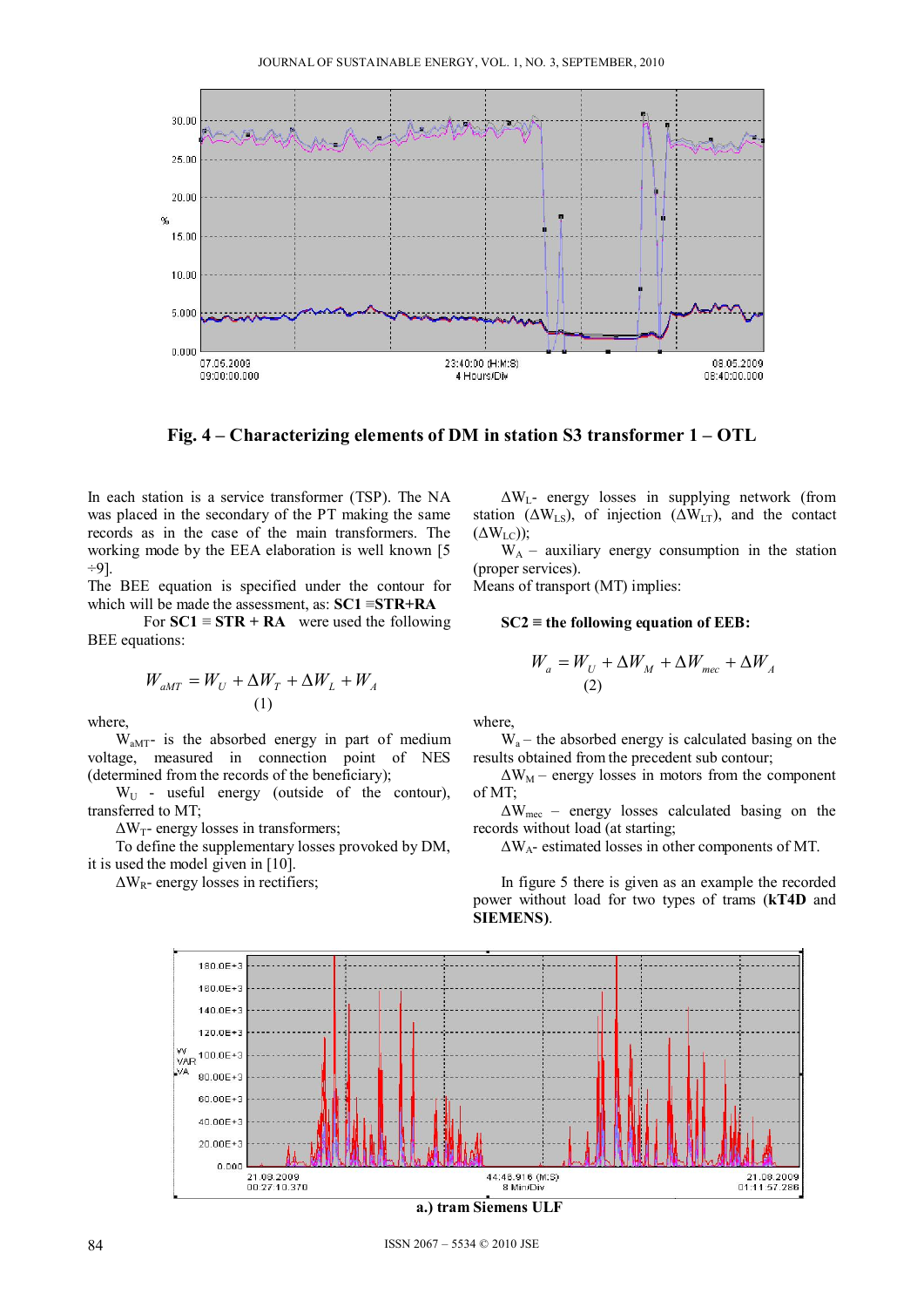

**Fig. 4 – Characterizing elements of DM in station S3 transformer 1 – OTL** 

In each station is a service transformer (TSP). The NA was placed in the secondary of the PT making the same records as in the case of the main transformers. The working mode by the EEA elaboration is well known [5 ÷9].

The BEE equation is specified under the contour for which will be made the assessment, as: **SC1** ≡**STR+RA** 

For  $\text{SC1} \equiv \text{STR} + \text{RA}$  were used the following BEE equations:

$$
W_{aMT} = W_U + \Delta W_T + \Delta W_L + W_A
$$
  
(1)

where,

 $W<sub>aMT</sub>$ - is the absorbed energy in part of medium voltage, measured in connection point of NES (determined from the records of the beneficiary);

 $W_{U}$  - useful energy (outside of the contour), transferred to MT;

 $\Delta W_T$ - energy losses in transformers;

 To define the supplementary losses provoked by DM, it is used the model given in [10].

 $\Delta W_R$ - energy losses in rectifiers;

 $\Delta W_L$ - energy losses in supplying network (from station ( $\Delta W_{LS}$ ), of injection ( $\Delta W_{LT}$ ), and the contact  $(\Delta W_{LC})$ );

 $W_A$  – auxiliary energy consumption in the station (proper services).

Means of transport (MT) implies:

**SC2 ≡ the following equation of EEB:**

$$
W_a = W_U + \Delta W_M + \Delta W_{mec} + \Delta W_A
$$
  
(2)

where,

 $W_a$  – the absorbed energy is calculated basing on the results obtained from the precedent sub contour;

 $\Delta W_M$  – energy losses in motors from the component of MT;

 $\Delta W_{\text{mec}}$  – energy losses calculated basing on the records without load (at starting;

ΔWA- estimated losses in other components of MT.

 In figure 5 there is given as an example the recorded power without load for two types of trams (**kT4D** and **SIEMENS)**.



84 ISSN 2067 – 5534 © 2010 JSE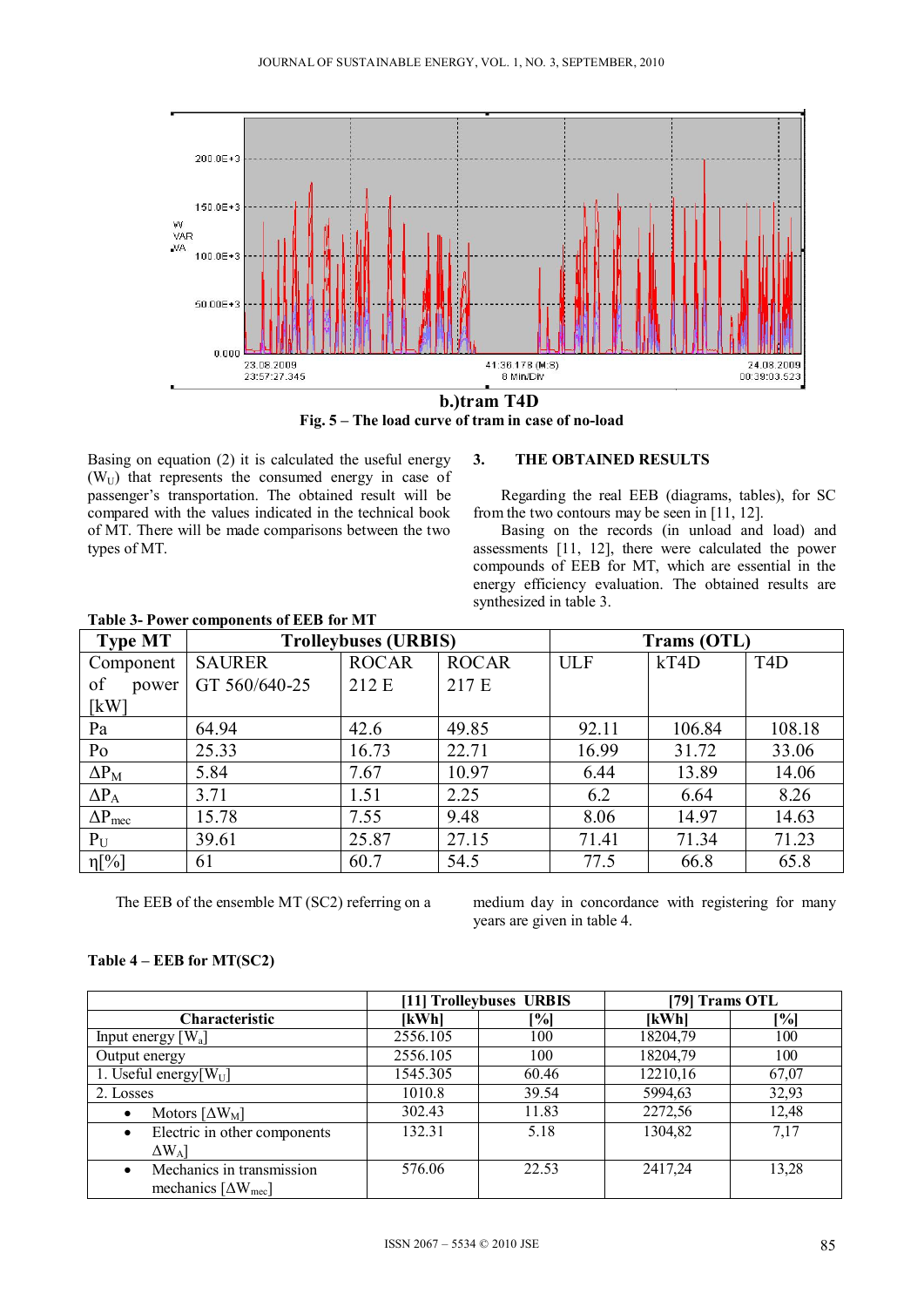

**Fig. 5 – The load curve of tram in case of no-load** 

Basing on equation (2) it is calculated the useful energy  $(W_U)$  that represents the consumed energy in case of passenger's transportation. The obtained result will be compared with the values indicated in the technical book of MT. There will be made comparisons between the two types of MT.

### **3. THE OBTAINED RESULTS**

Regarding the real EEB (diagrams, tables), for SC from the two contours may be seen in [11, 12].

 Basing on the records (in unload and load) and assessments [11, 12], there were calculated the power compounds of EEB for MT, which are essential in the energy efficiency evaluation. The obtained results are synthesized in table 3.

| <b>Type MT</b>          | <b>Trolleybuses (URBIS)</b> |              |              | Trams (OTL) |        |                  |
|-------------------------|-----------------------------|--------------|--------------|-------------|--------|------------------|
| Component               | <b>SAURER</b>               | <b>ROCAR</b> | <b>ROCAR</b> | <b>ULF</b>  | kT4D   | T <sub>4</sub> D |
| of<br>power             | GT 560/640-25               | 212 E        | 217 E        |             |        |                  |
| $\lceil$ kW $\rceil$    |                             |              |              |             |        |                  |
| Pa                      | 64.94                       | 42.6         | 49.85        | 92.11       | 106.84 | 108.18           |
| Po                      | 25.33                       | 16.73        | 22.71        | 16.99       | 31.72  | 33.06            |
| $\Delta P_M$            | 5.84                        | 7.67         | 10.97        | 6.44        | 13.89  | 14.06            |
| $\Delta P_A$            | 3.71                        | 1.51         | 2.25         | 6.2         | 6.64   | 8.26             |
| $\Delta P_{\text{mec}}$ | 15.78                       | 7.55         | 9.48         | 8.06        | 14.97  | 14.63            |
| $P_{U}$                 | 39.61                       | 25.87        | 27.15        | 71.41       | 71.34  | 71.23            |
| $\eta[\%]$              | 61                          | 60.7         | 54.5         | 77.5        | 66.8   | 65.8             |

**Table 3- Power components of EEB for MT** 

The EEB of the ensemble MT (SC2) referring on a medium day in concordance with registering for many years are given in table 4.

#### **Table 4 – EEB for MT(SC2)**

|                                               | [11] Trolleybuses URBIS |       | [79] Trams OTL |       |
|-----------------------------------------------|-------------------------|-------|----------------|-------|
| <b>Characteristic</b>                         | [kWh]                   | [%]   | [kWh]          | [%]   |
| Input energy $[W_a]$                          | 2556.105                | 100   | 18204,79       | 100   |
| Output energy                                 | 2556.105                | 100   | 18204,79       | 100   |
| 1. Useful energy $[W_U]$                      | 1545.305                | 60.46 | 12210,16       | 67,07 |
| 2. Losses                                     | 1010.8                  | 39.54 | 5994,63        | 32,93 |
| Motors $\left[\Delta W_M\right]$<br>$\bullet$ | 302.43                  | 11.83 | 2272,56        | 12,48 |
| Electric in other components<br>$\bullet$     | 132.31                  | 5.18  | 1304,82        | 7,17  |
| $\Delta W_A$ ]                                |                         |       |                |       |
| Mechanics in transmission                     | 576.06                  | 22.53 | 2417,24        | 13,28 |
| mechanics $[\Delta W_{\text{mec}}]$           |                         |       |                |       |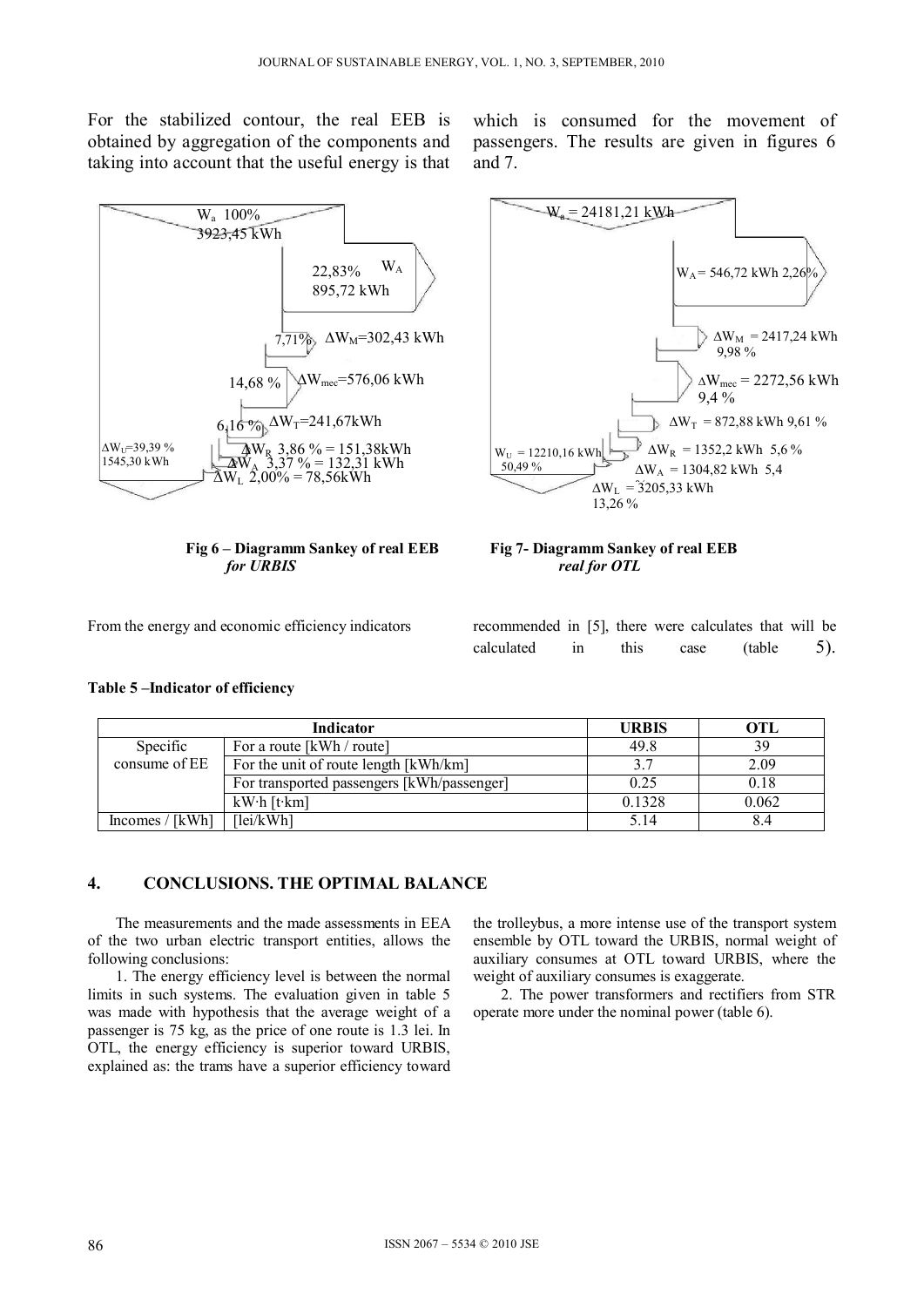For the stabilized contour, the real EEB is obtained by aggregation of the components and taking into account that the useful energy is that



**Fig 6 – Diagramm Sankey of real EEB Fig 7- Diagramm Sankey of real EEB**  *for URBIS real for OTL* 

which is consumed for the movement of passengers. The results are given in figures 6 and 7.



From the energy and economic efficiency indicators recommended in [5], there were calculates that will be

**Table 5 –Indicator of efficiency** 

calculated in this case (table 5).

|                                                        | Indicator                                  | <b>URBIS</b> | OTL   |
|--------------------------------------------------------|--------------------------------------------|--------------|-------|
| Specific                                               | For a route [kWh / route]                  | 49.8         | 39    |
| consume of EE<br>For the unit of route length [kWh/km] |                                            | 3.7          | 2.09  |
|                                                        | For transported passengers [kWh/passenger] | 0.25         | 0.18  |
|                                                        | kW <sup>·</sup> h [t·km]                   | 0.1328       | 0.062 |
| Incomes $/$ [kWh]                                      | $\left[1\text{ei}/\text{kWh}\right]$       | 5.14         | 8.4   |

# **4. CONCLUSIONS. THE OPTIMAL BALANCE**

The measurements and the made assessments in EEA of the two urban electric transport entities, allows the following conclusions:

1. The energy efficiency level is between the normal limits in such systems. The evaluation given in table 5 was made with hypothesis that the average weight of a passenger is 75 kg, as the price of one route is 1.3 lei. In OTL, the energy efficiency is superior toward URBIS, explained as: the trams have a superior efficiency toward the trolleybus, a more intense use of the transport system ensemble by OTL toward the URBIS, normal weight of auxiliary consumes at OTL toward URBIS, where the weight of auxiliary consumes is exaggerate.

2. The power transformers and rectifiers from STR operate more under the nominal power (table 6).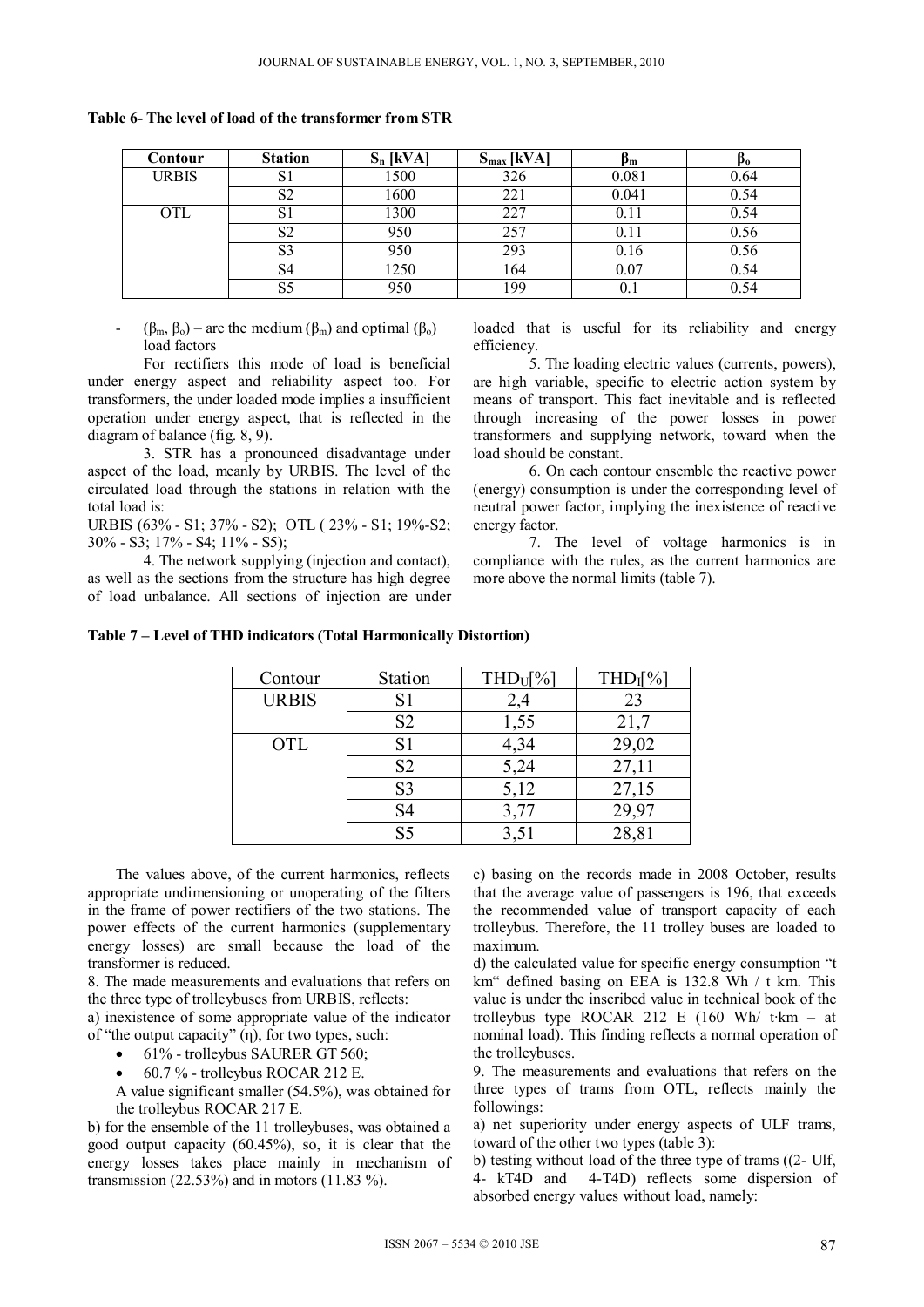**Table 6- The level of load of the transformer from STR** 

| Contour      | <b>Station</b> | $S_n$ [kVA] | $S_{max}$ [kVA] | Рm        | P <sub>0</sub> |
|--------------|----------------|-------------|-----------------|-----------|----------------|
| <b>URBIS</b> | S1             | 1500        | 326             | 0.081     | 0.64           |
|              | S <sub>2</sub> | 1600        | 221             | 0.041     | 0.54           |
| <b>OTL</b>   | S1             | 1300        | 227             | 0.11      | 0.54           |
|              | S <sub>2</sub> | 950         | 257             | 0.11      | 0.56           |
|              | S3             | 950         | 293             | 0.16      | 0.56           |
|              | S4             | 1250        | 164             | 0.07      | 0.54           |
|              | S5             | 950         | 199             | $\rm 0.1$ | 0.54           |

 $(\beta_m, \beta_o)$  – are the medium  $(\beta_m)$  and optimal  $(\beta_o)$ load factors

For rectifiers this mode of load is beneficial under energy aspect and reliability aspect too. For transformers, the under loaded mode implies a insufficient operation under energy aspect, that is reflected in the diagram of balance (fig. 8, 9).

3. STR has a pronounced disadvantage under aspect of the load, meanly by URBIS. The level of the circulated load through the stations in relation with the total load is:

URBIS (63% - S1; 37% - S2); OTL ( 23% - S1; 19%-S2;  $30\% - S3$ ;  $17\% - S4$ ;  $11\% - S5$ );

4. The network supplying (injection and contact), as well as the sections from the structure has high degree of load unbalance. All sections of injection are under loaded that is useful for its reliability and energy efficiency.

5. The loading electric values (currents, powers), are high variable, specific to electric action system by means of transport. This fact inevitable and is reflected through increasing of the power losses in power transformers and supplying network, toward when the load should be constant.

6. On each contour ensemble the reactive power (energy) consumption is under the corresponding level of neutral power factor, implying the inexistence of reactive energy factor.

7. The level of voltage harmonics is in compliance with the rules, as the current harmonics are more above the normal limits (table 7).

| Contour      | Station        | $THD_U[\%]$ | $THD_I[\%]$ |
|--------------|----------------|-------------|-------------|
| <b>URBIS</b> | S <sub>1</sub> | 2,4         | 23          |
|              | S <sub>2</sub> | 1,55        | 21,7        |
| <b>OTL</b>   | S <sub>1</sub> | 4,34        | 29,02       |
|              | S <sub>2</sub> | 5,24        | 27,11       |
|              | S <sub>3</sub> | 5,12        | 27,15       |
|              | S <sub>4</sub> | 3,77        | 29,97       |
|              | S5             |             | 28,81       |

**Table 7 – Level of THD indicators (Total Harmonically Distortion)** 

The values above, of the current harmonics, reflects appropriate undimensioning or unoperating of the filters in the frame of power rectifiers of the two stations. The power effects of the current harmonics (supplementary energy losses) are small because the load of the transformer is reduced.

8. The made measurements and evaluations that refers on the three type of trolleybuses from URBIS, reflects:

a) inexistence of some appropriate value of the indicator of "the output capacity" (η), for two types, such:

- 61% trolleybus SAURER GT 560;
- 60.7 % trolleybus ROCAR 212 E.

A value significant smaller (54.5%), was obtained for the trolleybus ROCAR 217 E.

b) for the ensemble of the 11 trolleybuses, was obtained a good output capacity (60.45%), so, it is clear that the energy losses takes place mainly in mechanism of transmission  $(22.53\%)$  and in motors  $(11.83\%)$ .

c) basing on the records made in 2008 October, results that the average value of passengers is 196, that exceeds the recommended value of transport capacity of each trolleybus. Therefore, the 11 trolley buses are loaded to maximum.

d) the calculated value for specific energy consumption "t km" defined basing on EEA is 132.8 Wh / t km. This value is under the inscribed value in technical book of the trolleybus type ROCAR 212 E (160 Wh/ t∙km – at nominal load). This finding reflects a normal operation of the trolleybuses.

9. The measurements and evaluations that refers on the three types of trams from OTL, reflects mainly the followings:

a) net superiority under energy aspects of ULF trams, toward of the other two types (table 3):

b) testing without load of the three type of trams ((2- Ulf, 4- kT4D and 4-T4D) reflects some dispersion of absorbed energy values without load, namely: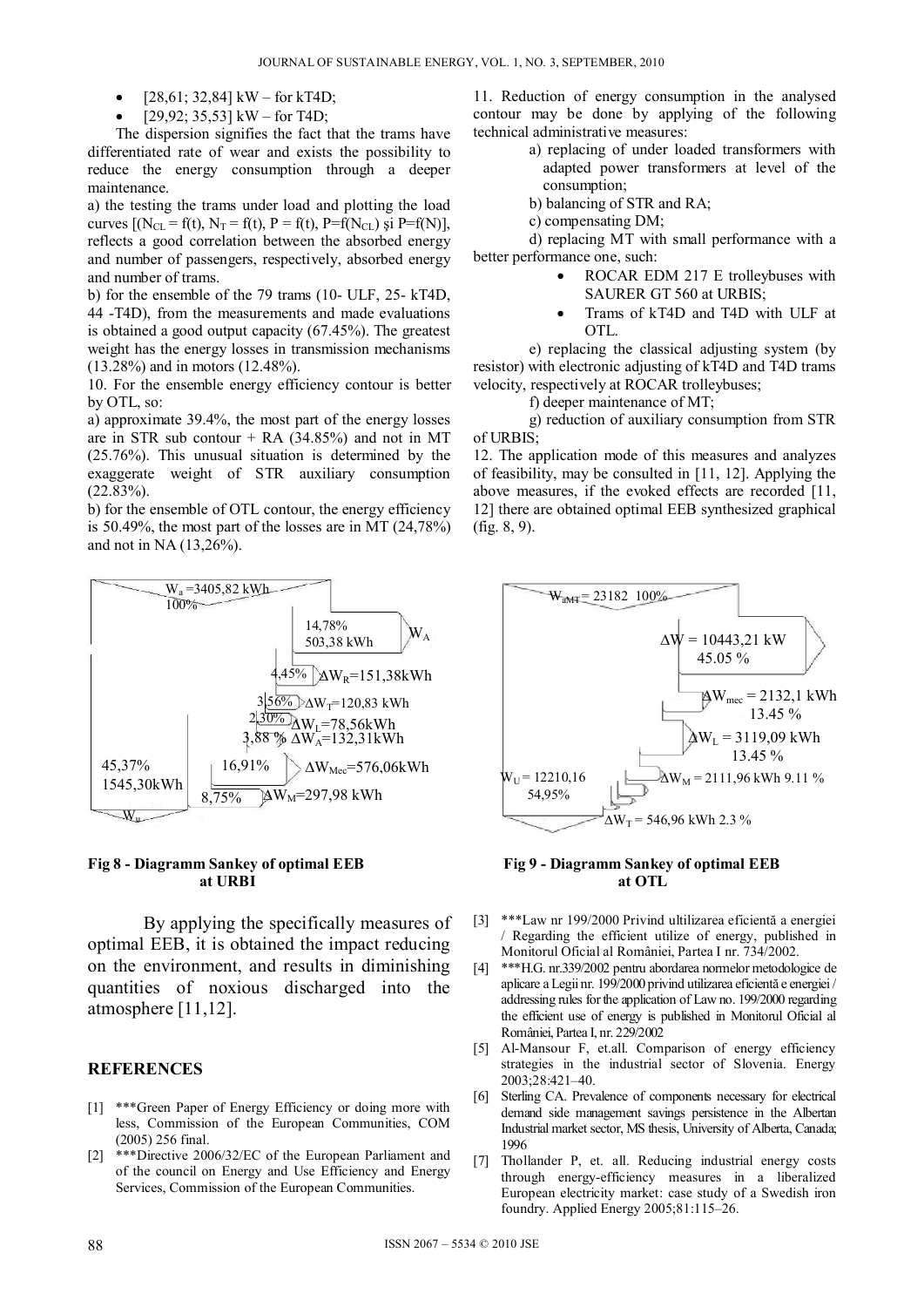- $[28,61; 32,84]$  kW for kT4D;
- [29,92; 35,53] kW for T4D;

The dispersion signifies the fact that the trams have differentiated rate of wear and exists the possibility to reduce the energy consumption through a deeper maintenance.

a) the testing the trams under load and plotting the load curves  $[(N_{CL} = f(t), N_T = f(t), P = f(t), P = f(N_{CL}) \text{ și } P = f(N)],$ reflects a good correlation between the absorbed energy and number of passengers, respectively, absorbed energy and number of trams.

b) for the ensemble of the 79 trams (10- ULF, 25- kT4D, 44 -T4D), from the measurements and made evaluations is obtained a good output capacity (67.45%). The greatest weight has the energy losses in transmission mechanisms (13.28%) and in motors (12.48%).

10. For the ensemble energy efficiency contour is better by OTL, so:

a) approximate 39.4%, the most part of the energy losses are in STR sub contour  $+$  RA (34.85%) and not in MT (25.76%). This unusual situation is determined by the exaggerate weight of STR auxiliary consumption (22.83%).

b) for the ensemble of OTL contour, the energy efficiency is 50.49%, the most part of the losses are in MT (24,78%) and not in NA (13,26%).





By applying the specifically measures of optimal EEB, it is obtained the impact reducing on the environment, and results in diminishing quantities of noxious discharged into the atmosphere [11,12].

#### **REFERENCES**

- [1] \*\*\*Green Paper of Energy Efficiency or doing more with less, Commission of the European Communities, COM (2005) 256 final.
- [2] \*\*\*Directive 2006/32/EC of the European Parliament and of the council on Energy and Use Efficiency and Energy Services, Commission of the European Communities.

11. Reduction of energy consumption in the analysed contour may be done by applying of the following technical administrative measures:

- a) replacing of under loaded transformers with adapted power transformers at level of the consumption;
- b) balancing of STR and RA;
- c) compensating DM;

d) replacing MT with small performance with a better performance one, such:

- ROCAR EDM 217 E trolleybuses with SAURER GT 560 at URBIS;
- Trams of kT4D and T4D with ULF at OTL.

e) replacing the classical adjusting system (by resistor) with electronic adjusting of kT4D and T4D trams velocity, respectively at ROCAR trolleybuses;

f) deeper maintenance of MT;

g) reduction of auxiliary consumption from STR of URBIS $\cdot$ 

12. The application mode of this measures and analyzes of feasibility, may be consulted in [11, 12]. Applying the above measures, if the evoked effects are recorded [11, 12] there are obtained optimal EEB synthesized graphical (fig. 8, 9).



- [3] \*\*\*Law nr 199/2000 Privind ultilizarea eficientă a energiei / Regarding the efficient utilize of energy, published in Monitorul Oficial al României, Partea I nr. 734/2002.
- [4] \*\*\*H.G. nr.339/2002 pentru abordarea normelor metodologice de aplicare a Legii nr. 199/2000 privind utilizarea eficientă e energiei / addressing rules for the application of Law no. 199/2000 regarding the efficient use of energy is published in Monitorul Oficial al României, Partea I, nr. 229/2002
- [5] Al-Mansour F, et.all. Comparison of energy efficiency strategies in the industrial sector of Slovenia. Energy 2003;28:421–40.
- [6] Sterling CA. Prevalence of components necessary for electrical demand side management savings persistence in the Albertan Industrial market sector, MS thesis, University of Alberta, Canada; 1996
- [7] Thollander P, et. all. Reducing industrial energy costs through energy-efficiency measures in a liberalized European electricity market: case study of a Swedish iron foundry. Applied Energy 2005;81:115–26.